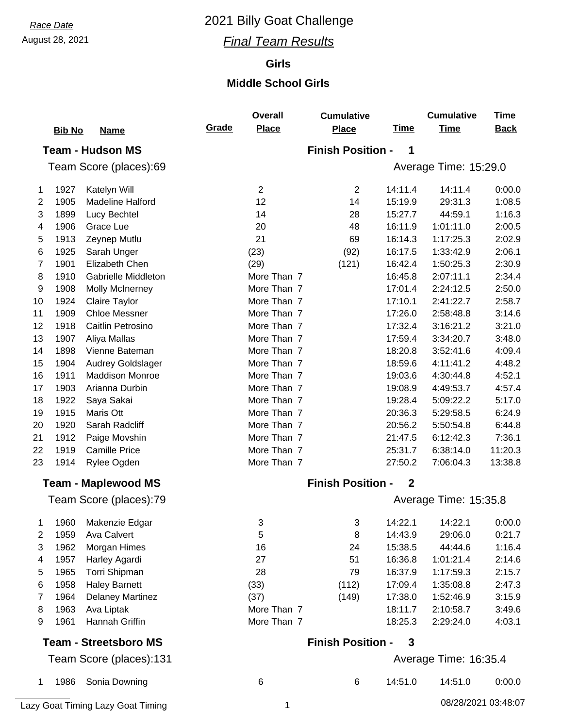## August 28, 2021 *Final Team Results*

### **Girls**

#### **Middle School Girls**

|    |               |                              |       | <b>Overall</b> | <b>Cumulative</b>        |              | <b>Cumulative</b>     | <b>Time</b> |
|----|---------------|------------------------------|-------|----------------|--------------------------|--------------|-----------------------|-------------|
|    | <b>Bib No</b> | <b>Name</b>                  | Grade | <b>Place</b>   | <b>Place</b>             | <b>Time</b>  | <b>Time</b>           | <b>Back</b> |
|    |               | <b>Team - Hudson MS</b>      |       |                | <b>Finish Position -</b> | 1            |                       |             |
|    |               | Team Score (places):69       |       |                |                          |              | Average Time: 15:29.0 |             |
| 1  | 1927          | Katelyn Will                 |       | $\overline{2}$ | $\overline{2}$           | 14:11.4      | 14:11.4               | 0:00.0      |
| 2  | 1905          | <b>Madeline Halford</b>      |       | 12             | 14                       | 15:19.9      | 29:31.3               | 1:08.5      |
| 3  | 1899          | Lucy Bechtel                 |       | 14             | 28                       | 15:27.7      | 44:59.1               | 1:16.3      |
| 4  | 1906          | Grace Lue                    |       | 20             | 48                       | 16:11.9      | 1:01:11.0             | 2:00.5      |
| 5  | 1913          | Zeynep Mutlu                 |       | 21             | 69                       | 16:14.3      | 1:17:25.3             | 2:02.9      |
| 6  | 1925          | Sarah Unger                  |       | (23)           | (92)                     | 16:17.5      | 1:33:42.9             | 2:06.1      |
| 7  | 1901          | Elizabeth Chen               |       | (29)           | (121)                    | 16:42.4      | 1:50:25.3             | 2:30.9      |
| 8  | 1910          | Gabrielle Middleton          |       | More Than 7    |                          | 16:45.8      | 2:07:11.1             | 2:34.4      |
| 9  | 1908          | <b>Molly McInerney</b>       |       | More Than 7    |                          | 17:01.4      | 2:24:12.5             | 2:50.0      |
| 10 | 1924          | Claire Taylor                |       | More Than 7    |                          | 17:10.1      | 2:41:22.7             | 2:58.7      |
| 11 | 1909          | <b>Chloe Messner</b>         |       | More Than 7    |                          | 17:26.0      | 2:58:48.8             | 3:14.6      |
| 12 | 1918          | Caitlin Petrosino            |       | More Than 7    |                          | 17:32.4      | 3:16:21.2             | 3:21.0      |
| 13 | 1907          | Aliya Mallas                 |       | More Than 7    |                          | 17:59.4      | 3:34:20.7             | 3:48.0      |
| 14 | 1898          | Vienne Bateman               |       | More Than 7    |                          | 18:20.8      | 3:52:41.6             | 4:09.4      |
| 15 | 1904          | <b>Audrey Goldslager</b>     |       | More Than 7    |                          | 18:59.6      | 4:11:41.2             | 4:48.2      |
| 16 | 1911          | <b>Maddison Monroe</b>       |       | More Than 7    |                          | 19:03.6      | 4:30:44.8             | 4:52.1      |
| 17 | 1903          | Arianna Durbin               |       | More Than 7    |                          | 19:08.9      | 4:49:53.7             | 4:57.4      |
| 18 | 1922          | Saya Sakai                   |       | More Than 7    |                          | 19:28.4      | 5:09:22.2             | 5:17.0      |
| 19 | 1915          | Maris Ott                    |       | More Than 7    |                          | 20:36.3      | 5:29:58.5             | 6:24.9      |
| 20 | 1920          | Sarah Radcliff               |       | More Than 7    |                          | 20:56.2      | 5:50:54.8             | 6:44.8      |
| 21 | 1912          | Paige Movshin                |       | More Than 7    |                          | 21:47.5      | 6:12:42.3             | 7:36.1      |
| 22 | 1919          | <b>Camille Price</b>         |       | More Than 7    |                          | 25:31.7      | 6:38:14.0             | 11:20.3     |
| 23 | 1914          | Rylee Ogden                  |       | More Than 7    |                          | 27:50.2      | 7:06:04.3             | 13:38.8     |
|    |               | <b>Team - Maplewood MS</b>   |       |                | <b>Finish Position -</b> | $\mathbf{2}$ |                       |             |
|    |               | Team Score (places):79       |       |                |                          |              | Average Time: 15:35.8 |             |
| 1  |               | 1960 Makenzie Edgar          |       | 3              | 3                        | 14:22.1      | 14:22.1               | 0:00.0      |
| 2  | 1959          | <b>Ava Calvert</b>           |       | 5              | 8                        | 14:43.9      | 29:06.0               | 0:21.7      |
| 3  | 1962          | Morgan Himes                 |       | 16             | 24                       | 15:38.5      | 44:44.6               | 1:16.4      |
| 4  | 1957          | Harley Agardi                |       | 27             | 51                       | 16:36.8      | 1:01:21.4             | 2:14.6      |
| 5  | 1965          | Torri Shipman                |       | 28             | 79                       | 16:37.9      | 1:17:59.3             | 2:15.7      |
| 6  | 1958          | <b>Haley Barnett</b>         |       | (33)           | (112)                    | 17:09.4      | 1:35:08.8             | 2:47.3      |
| 7  | 1964          | <b>Delaney Martinez</b>      |       | (37)           | (149)                    | 17:38.0      | 1:52:46.9             | 3:15.9      |
| 8  | 1963          | Ava Liptak                   |       | More Than 7    |                          | 18:11.7      | 2:10:58.7             | 3:49.6      |
| 9  | 1961          | Hannah Griffin               |       | More Than 7    |                          | 18:25.3      | 2:29:24.0             | 4:03.1      |
|    |               | <b>Team - Streetsboro MS</b> |       |                | <b>Finish Position -</b> | 3            |                       |             |
|    |               | Team Score (places):131      |       |                |                          |              | Average Time: 16:35.4 |             |
| 1  | 1986          | Sonia Downing                |       | 6              | 6                        | 14:51.0      | 14:51.0               | 0:00.0      |

Lazy Goat Timing Lazy Goat Timing 1 08/28/2021 03:48:07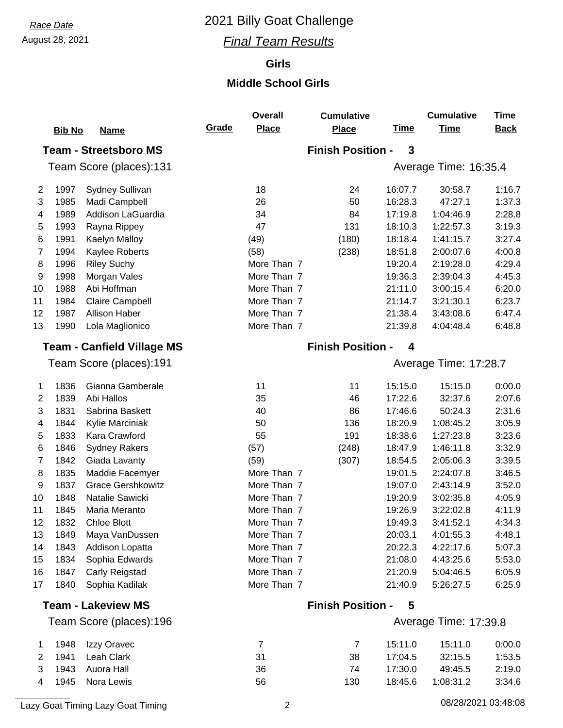## August 28, 2021 *Final Team Results*

### **Girls**

#### **Middle School Girls**

|                | <b>Bib No</b> | <b>Name</b>                       | Grade | <b>Overall</b><br><b>Place</b> | <b>Cumulative</b><br><b>Place</b> | <b>Time</b>  | <b>Cumulative</b><br><b>Time</b> | <b>Time</b><br><b>Back</b> |
|----------------|---------------|-----------------------------------|-------|--------------------------------|-----------------------------------|--------------|----------------------------------|----------------------------|
|                |               | <b>Team - Streetsboro MS</b>      |       |                                | <b>Finish Position -</b>          | $\mathbf{3}$ |                                  |                            |
|                |               | Team Score (places):131           |       |                                |                                   |              | Average Time: 16:35.4            |                            |
| $\overline{2}$ | 1997          | <b>Sydney Sullivan</b>            |       | 18                             | 24                                | 16:07.7      | 30:58.7                          | 1:16.7                     |
| 3              | 1985          | Madi Campbell                     |       | 26                             | 50                                | 16:28.3      | 47:27.1                          | 1:37.3                     |
| 4              | 1989          | Addison LaGuardia                 |       | 34                             | 84                                | 17:19.8      | 1:04:46.9                        | 2:28.8                     |
| 5              | 1993          | Rayna Rippey                      |       | 47                             | 131                               | 18:10.3      | 1:22:57.3                        | 3:19.3                     |
| 6              | 1991          | Kaelyn Malloy                     |       | (49)                           | (180)                             | 18:18.4      | 1:41:15.7                        | 3:27.4                     |
| 7              | 1994          | Kaylee Roberts                    |       | (58)                           | (238)                             | 18:51.8      | 2:00:07.6                        | 4:00.8                     |
| 8              | 1996          | <b>Riley Suchy</b>                |       | More Than 7                    |                                   | 19:20.4      | 2:19:28.0                        | 4:29.4                     |
| 9              | 1998          | Morgan Vales                      |       | More Than 7                    |                                   | 19:36.3      | 2:39:04.3                        | 4:45.3                     |
| 10             | 1988          | Abi Hoffman                       |       | More Than 7                    |                                   | 21:11.0      | 3:00:15.4                        | 6:20.0                     |
| 11             | 1984          | Claire Campbell                   |       | More Than 7                    |                                   | 21:14.7      | 3:21:30.1                        | 6:23.7                     |
| 12             | 1987          | <b>Allison Haber</b>              |       | More Than 7                    |                                   | 21:38.4      | 3:43:08.6                        | 6:47.4                     |
| 13             | 1990          | Lola Maglionico                   |       | More Than 7                    |                                   | 21:39.8      | 4:04:48.4                        | 6:48.8                     |
|                |               | <b>Team - Canfield Village MS</b> |       |                                | <b>Finish Position -</b>          | 4            |                                  |                            |
|                |               | Team Score (places):191           |       |                                |                                   |              | Average Time: 17:28.7            |                            |
| 1              | 1836          | Gianna Gamberale                  |       | 11                             | 11                                | 15:15.0      | 15:15.0                          | 0:00.0                     |
| 2              | 1839          | Abi Hallos                        |       | 35                             | 46                                | 17:22.6      | 32:37.6                          | 2:07.6                     |
| 3              | 1831          | Sabrina Baskett                   |       | 40                             | 86                                | 17:46.6      | 50:24.3                          | 2:31.6                     |
| 4              | 1844          | Kylie Marciniak                   |       | 50                             | 136                               | 18:20.9      | 1:08:45.2                        | 3:05.9                     |
| 5              | 1833          | Kara Crawford                     |       | 55                             | 191                               | 18:38.6      | 1:27:23.8                        | 3:23.6                     |
| 6              | 1846          | <b>Sydney Rakers</b>              |       | (57)                           | (248)                             | 18:47.9      | 1:46:11.8                        | 3:32.9                     |
| 7              | 1842          | Giada Lavanty                     |       | (59)                           | (307)                             | 18:54.5      | 2:05:06.3                        | 3:39.5                     |
| 8              | 1835          | Maddie Facemyer                   |       | More Than 7                    |                                   | 19:01.5      | 2:24:07.8                        | 3:46.5                     |
| 9              | 1837          | <b>Grace Gershkowitz</b>          |       | More Than 7                    |                                   | 19:07.0      | 2:43:14.9                        | 3:52.0                     |
| 10             | 1848          | Natalie Sawicki                   |       | More Than 7                    |                                   | 19:20.9      | 3:02:35.8                        | 4:05.9                     |
| 11             | 1845          | Maria Meranto                     |       | More Than 7                    |                                   | 19:26.9      | 3:22:02.8                        | 4:11.9                     |
| 12             | 1832          | <b>Chloe Blott</b>                |       | More Than 7                    |                                   | 19:49.3      | 3:41:52.1                        | 4:34.3                     |
| 13             | 1849          | Maya VanDussen                    |       | More Than 7                    |                                   | 20:03.1      | 4:01:55.3                        | 4:48.1                     |
| 14             | 1843          | Addison Lopatta                   |       | More Than 7                    |                                   | 20:22.3      | 4:22:17.6                        | 5:07.3                     |
| 15             | 1834          | Sophia Edwards                    |       | More Than 7                    |                                   | 21:08.0      | 4:43:25.6                        | 5:53.0                     |
| 16             | 1847          | Carly Reigstad                    |       | More Than 7                    |                                   | 21:20.9      | 5:04:46.5                        | 6:05.9                     |
| 17             | 1840          | Sophia Kadilak                    |       | More Than 7                    |                                   | 21:40.9      | 5:26:27.5                        | 6:25.9                     |
|                |               | <b>Team - Lakeview MS</b>         |       |                                | <b>Finish Position -</b>          | 5            |                                  |                            |
|                |               | Team Score (places):196           |       |                                |                                   |              | Average Time: 17:39.8            |                            |

|  | 1 1948 Izzy Oravec |     |     | 15:11.0 | 15:11.0   | 0:00.0 |
|--|--------------------|-----|-----|---------|-----------|--------|
|  | 2 1941 Leah Clark  | -31 | 38  | 17:04.5 | 32:15.5   | 1:53.5 |
|  | 3 1943 Auora Hall  | 36  | 74  | 17:30.0 | 49:45.5   | 2:19.0 |
|  | 4 1945 Nora Lewis  | 56  | 130 | 18:45.6 | 1:08:31.2 | 3:34.6 |

Lazy Goat Timing Lazy Goat Timing 2 08/28/2021 03:48:08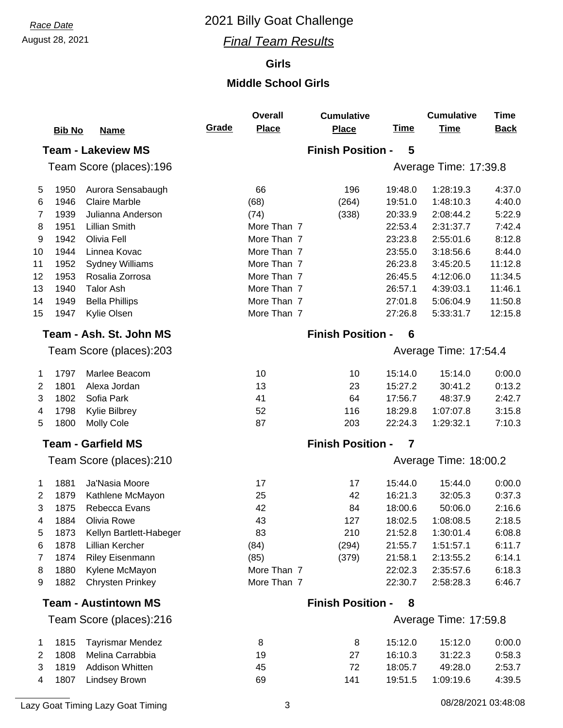## August 28, 2021 *Final Team Results*

### **Girls**

#### **Middle School Girls**

|                                                  | <b>Bib No</b> | <b>Name</b>                 | Grade | <b>Overall</b><br><b>Place</b> | <b>Cumulative</b><br><b>Place</b> | <b>Time</b>           | <b>Cumulative</b><br><b>Time</b> | <b>Time</b><br><b>Back</b> |  |  |
|--------------------------------------------------|---------------|-----------------------------|-------|--------------------------------|-----------------------------------|-----------------------|----------------------------------|----------------------------|--|--|
|                                                  |               | <b>Team - Lakeview MS</b>   |       |                                | <b>Finish Position -</b>          | 5                     |                                  |                            |  |  |
|                                                  |               | Team Score (places):196     |       |                                |                                   |                       | Average Time: 17:39.8            |                            |  |  |
| 5                                                | 1950          | Aurora Sensabaugh           |       | 66                             | 196                               | 19:48.0               | 1:28:19.3                        | 4:37.0                     |  |  |
| 6                                                | 1946          | <b>Claire Marble</b>        |       | (68)                           | (264)                             | 19:51.0               | 1:48:10.3                        | 4:40.0                     |  |  |
| 7                                                | 1939          | Julianna Anderson           |       | (74)                           | (338)                             | 20:33.9               | 2:08:44.2                        | 5:22.9                     |  |  |
| 8                                                | 1951          | Lillian Smith               |       | More Than 7                    |                                   | 22:53.4               | 2:31:37.7                        | 7:42.4                     |  |  |
| 9                                                | 1942          | Olivia Fell                 |       | More Than 7                    |                                   | 23:23.8               | 2:55:01.6                        | 8:12.8                     |  |  |
| 10                                               | 1944          | Linnea Kovac                |       | More Than 7                    |                                   | 23:55.0               | 3:18:56.6                        | 8:44.0                     |  |  |
| 11                                               | 1952          | <b>Sydney Williams</b>      |       | More Than 7                    |                                   | 26:23.8               | 3:45:20.5                        | 11:12.8                    |  |  |
| 12                                               | 1953          | Rosalia Zorrosa             |       | More Than 7                    |                                   | 26:45.5               | 4:12:06.0                        | 11:34.5                    |  |  |
| 13                                               | 1940          | <b>Talor Ash</b>            |       | More Than 7                    |                                   | 26:57.1               | 4:39:03.1                        | 11:46.1                    |  |  |
| 14                                               | 1949          | <b>Bella Phillips</b>       |       | More Than 7                    |                                   | 27:01.8               | 5:06:04.9                        | 11:50.8                    |  |  |
| 15                                               | 1947          | Kylie Olsen                 |       | More Than 7                    |                                   | 27:26.8               | 5:33:31.7                        | 12:15.8                    |  |  |
|                                                  |               | Team - Ash. St. John MS     |       |                                | <b>Finish Position -</b>          | 6                     |                                  |                            |  |  |
| Team Score (places):203                          |               |                             |       |                                |                                   | Average Time: 17:54.4 |                                  |                            |  |  |
| 1                                                | 1797          | Marlee Beacom               |       | 10                             | 10                                | 15:14.0               | 15:14.0                          | 0:00.0                     |  |  |
| 2                                                | 1801          | Alexa Jordan                |       | 13                             | 23                                | 15:27.2               | 30:41.2                          | 0:13.2                     |  |  |
| 3                                                | 1802          | Sofia Park                  |       | 41                             | 64                                | 17:56.7               | 48:37.9                          | 2:42.7                     |  |  |
| 4                                                | 1798          | Kylie Bilbrey               |       | 52                             | 116                               | 18:29.8               | 1:07:07.8                        | 3:15.8                     |  |  |
| 5                                                | 1800          | <b>Molly Cole</b>           |       | 87                             | 203                               | 22:24.3               | 1:29:32.1                        | 7:10.3                     |  |  |
|                                                  |               | <b>Team - Garfield MS</b>   |       |                                | <b>Finish Position -</b>          | 7                     |                                  |                            |  |  |
|                                                  |               | Team Score (places):210     |       |                                |                                   |                       | Average Time: 18:00.2            |                            |  |  |
| 1                                                | 1881          | Ja'Nasia Moore              |       | 17                             | 17                                | 15:44.0               | 15:44.0                          | 0:00.0                     |  |  |
| 2                                                | 1879          | Kathlene McMayon            |       | 25                             | 42                                | 16:21.3               | 32:05.3                          | 0:37.3                     |  |  |
| 3                                                | 1875          | Rebecca Evans               |       | 42                             | 84                                | 18:00.6               | 50:06.0                          | 2:16.6                     |  |  |
| 4                                                | 1884          | Olivia Rowe                 |       | 43                             | 127                               | 18:02.5               | 1:08:08.5                        | 2:18.5                     |  |  |
| 5                                                | 1873          | Kellyn Bartlett-Habeger     |       | 83                             | 210                               | 21:52.8               | 1:30:01.4                        | 6:08.8                     |  |  |
| 6                                                | 1878          | Lillian Kercher             |       | (84)                           | (294)                             | 21:55.7               | 1:51:57.1                        | 6:11.7                     |  |  |
| 7                                                | 1874          | Riley Eisenmann             |       | (85)                           | (379)                             | 21:58.1               | 2:13:55.2                        | 6:14.1                     |  |  |
| 8                                                | 1880          | Kylene McMayon              |       | More Than 7                    |                                   | 22:02.3               | 2:35:57.6                        | 6:18.3                     |  |  |
| 9                                                | 1882          | <b>Chrysten Prinkey</b>     |       | More Than 7                    |                                   | 22:30.7               | 2:58:28.3                        | 6:46.7                     |  |  |
|                                                  |               | <b>Team - Austintown MS</b> |       |                                | <b>Finish Position -</b><br>8     |                       |                                  |                            |  |  |
| Team Score (places):216<br>Average Time: 17:59.8 |               |                             |       |                                |                                   |                       |                                  |                            |  |  |

|        | 1815 Tayrismar Mendez  |    | 8   | 15:12.0 | 15:12.0   | 0:00.0 |
|--------|------------------------|----|-----|---------|-----------|--------|
| 1808   | Melina Carrabbia       | 19 | 27  | 16:10.3 | 31:22.3   | 0.58.3 |
|        | 3 1819 Addison Whitten | 45 |     | 18:05.7 | 49:28.0   | 2:53.7 |
| 4 1807 | Lindsey Brown          | 69 | 141 | 19:51.5 | 1:09:19.6 | 4:39.5 |
|        |                        |    |     |         |           |        |

Lazy Goat Timing Lazy Goat Timing 3 1 2012 1 2014 1 2021 1 2022 1 2023/2021 1 2023 1 2024 1 2022 1 2022 1 2022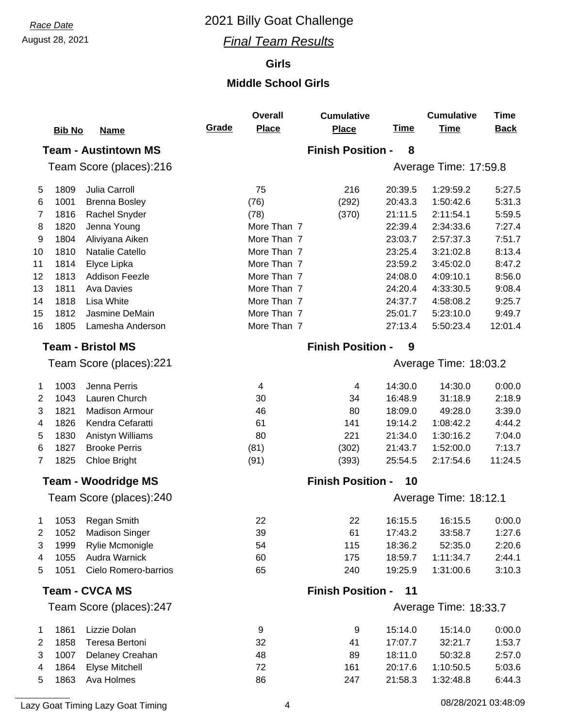## August 28, 2021 *Final Team Results*

### **Girls**

#### **Middle School Girls**

|                |               |                             |       | <b>Overall</b> | <b>Cumulative</b>        |             | <b>Cumulative</b>     | <b>Time</b> |
|----------------|---------------|-----------------------------|-------|----------------|--------------------------|-------------|-----------------------|-------------|
|                | <b>Bib No</b> | <b>Name</b>                 | Grade | <b>Place</b>   | <b>Place</b>             | <u>Time</u> | <b>Time</b>           | <b>Back</b> |
|                |               | <b>Team - Austintown MS</b> |       |                | <b>Finish Position -</b> | 8           |                       |             |
|                |               | Team Score (places):216     |       |                |                          |             | Average Time: 17:59.8 |             |
| 5              | 1809          | Julia Carroll               |       | 75             | 216                      | 20:39.5     | 1:29:59.2             | 5:27.5      |
| 6              | 1001          | <b>Brenna Bosley</b>        |       | (76)           | (292)                    | 20:43.3     | 1:50:42.6             | 5:31.3      |
| 7              | 1816          | Rachel Snyder               |       | (78)           | (370)                    | 21:11.5     | 2:11:54.1             | 5:59.5      |
| 8              | 1820          | Jenna Young                 |       | More Than 7    |                          | 22:39.4     | 2:34:33.6             | 7:27.4      |
| 9              | 1804          | Aliviyana Aiken             |       | More Than 7    |                          | 23:03.7     | 2:57:37.3             | 7:51.7      |
| 10             | 1810          | Natalie Catello             |       | More Than 7    |                          | 23:25.4     | 3:21:02.8             | 8:13.4      |
| 11             | 1814          | Elyce Lipka                 |       | More Than 7    |                          | 23:59.2     | 3:45:02.0             | 8:47.2      |
| 12             | 1813          | <b>Addison Feezle</b>       |       | More Than 7    |                          | 24:08.0     | 4:09:10.1             | 8:56.0      |
| 13             | 1811          | <b>Ava Davies</b>           |       | More Than 7    |                          | 24:20.4     | 4:33:30.5             | 9:08.4      |
| 14             | 1818          | Lisa White                  |       | More Than 7    |                          | 24:37.7     | 4:58:08.2             | 9:25.7      |
| 15             | 1812          | Jasmine DeMain              |       | More Than 7    |                          | 25:01.7     | 5:23:10.0             | 9:49.7      |
| 16             | 1805          | Lamesha Anderson            |       | More Than 7    |                          | 27:13.4     | 5:50:23.4             | 12:01.4     |
|                |               | <b>Team - Bristol MS</b>    |       |                | <b>Finish Position -</b> | 9           |                       |             |
|                |               | Team Score (places):221     |       |                |                          |             | Average Time: 18:03.2 |             |
| 1              | 1003          | Jenna Perris                |       | 4              | 4                        | 14:30.0     | 14:30.0               | 0:00.0      |
| $\overline{2}$ | 1043          | Lauren Church               |       | 30             | 34                       | 16:48.9     | 31:18.9               | 2:18.9      |
| 3              | 1821          | <b>Madison Armour</b>       |       | 46             | 80                       | 18:09.0     | 49:28.0               | 3:39.0      |
| 4              | 1826          | Kendra Cefaratti            |       | 61             | 141                      | 19:14.2     | 1:08:42.2             | 4:44.2      |
| 5              | 1830          | Anistyn Williams            |       | 80             | 221                      | 21:34.0     | 1:30:16.2             | 7:04.0      |
| 6              | 1827          | <b>Brooke Perris</b>        |       | (81)           | (302)                    | 21:43.7     | 1:52:00.0             | 7:13.7      |
| 7              | 1825          | <b>Chloe Bright</b>         |       | (91)           | (393)                    | 25:54.5     | 2:17:54.6             | 11:24.5     |
|                |               | <b>Team - Woodridge MS</b>  |       |                | <b>Finish Position -</b> | 10          |                       |             |
|                |               | Team Score (places):240     |       |                |                          |             | Average Time: 18:12.1 |             |
|                |               | 1053 Regan Smith            |       | 22             | 22                       | 16:15.5     | 16:15.5               | 0:00.0      |
| 2              | 1052          | <b>Madison Singer</b>       |       | 39             | 61                       | 17:43.2     | 33:58.7               | 1:27.6      |
| 3              | 1999          | Rylie Mcmonigle             |       | 54             | 115                      | 18:36.2     | 52:35.0               | 2:20.6      |
| 4              | 1055          | Audra Warnick               |       | 60             | 175                      | 18:59.7     | 1:11:34.7             | 2:44.1      |
| 5              | 1051          | Cielo Romero-barrios        |       | 65             | 240                      | 19:25.9     | 1:31:00.6             | 3:10.3      |
|                |               | <b>Team - CVCA MS</b>       |       |                | <b>Finish Position -</b> | 11          |                       |             |
|                |               | Team Score (places):247     |       |                |                          |             | Average Time: 18:33.7 |             |
| 1              | 1861          | Lizzie Dolan                |       | 9              | 9                        | 15:14.0     | 15:14.0               | 0:00.0      |
| 2              | 1858          | Teresa Bertoni              |       | 32             | 41                       | 17:07.7     | 32:21.7               | 1:53.7      |
| 3              | 1007          | Delaney Creahan             |       | 48             | 89                       | 18:11.0     | 50:32.8               | 2:57.0      |
| 4              | 1864          | <b>Elyse Mitchell</b>       |       | 72             | 161                      | 20:17.6     | 1:10:50.5             | 5:03.6      |
| 5              | 1863          | Ava Holmes                  |       | 86             | 247                      | 21:58.3     | 1:32:48.8             | 6:44.3      |

Lazy Goat Timing Lazy Goat Timing 2001 120 August 2008/2021 12:48:09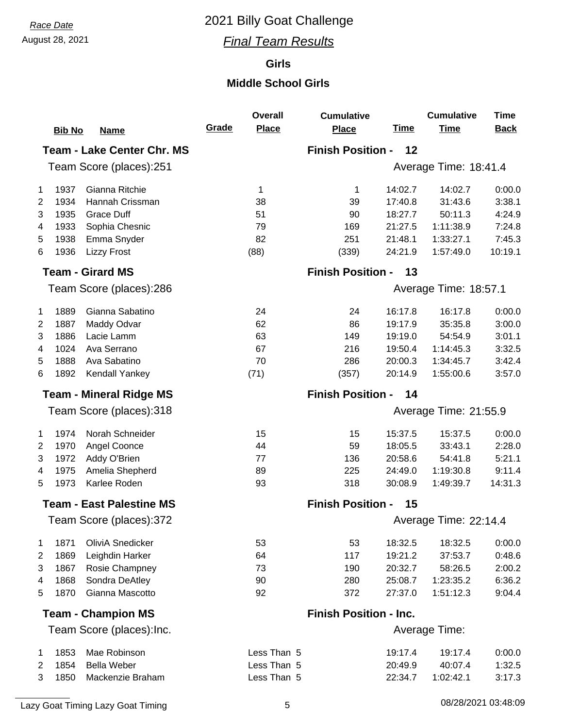## August 28, 2021 *Final Team Results*

### **Girls**

#### **Middle School Girls**

|                                | <b>Bib No</b> | <b>Name</b>                       | Grade | <b>Overall</b><br><b>Place</b> | <b>Cumulative</b><br><b>Place</b> | <b>Time</b> | <b>Cumulative</b><br><b>Time</b> | <b>Time</b><br><b>Back</b> |
|--------------------------------|---------------|-----------------------------------|-------|--------------------------------|-----------------------------------|-------------|----------------------------------|----------------------------|
|                                |               | <b>Team - Lake Center Chr. MS</b> |       |                                | <b>Finish Position -</b>          | 12          |                                  |                            |
|                                |               | Team Score (places):251           |       |                                |                                   |             | Average Time: 18:41.4            |                            |
| 1                              | 1937          | Gianna Ritchie                    |       | 1                              | 1                                 | 14:02.7     | 14:02.7                          | 0:00.0                     |
| $\overline{2}$                 | 1934          | Hannah Crissman                   |       | 38                             | 39                                | 17:40.8     | 31:43.6                          | 3:38.1                     |
| 3                              | 1935          | <b>Grace Duff</b>                 |       | 51                             | 90                                | 18:27.7     | 50:11.3                          | 4:24.9                     |
| 4                              | 1933          | Sophia Chesnic                    |       | 79                             | 169                               | 21:27.5     | 1:11:38.9                        | 7:24.8                     |
| 5                              | 1938          | Emma Snyder                       |       | 82                             | 251                               | 21:48.1     | 1:33:27.1                        | 7:45.3                     |
| 6                              | 1936          | <b>Lizzy Frost</b>                |       | (88)                           | (339)                             | 24:21.9     | 1:57:49.0                        | 10:19.1                    |
|                                |               | <b>Team - Girard MS</b>           |       |                                | <b>Finish Position -</b>          | 13          |                                  |                            |
|                                |               | Team Score (places):286           |       |                                |                                   |             | Average Time: 18:57.1            |                            |
| 1                              | 1889          | Gianna Sabatino                   |       | 24                             | 24                                | 16:17.8     | 16:17.8                          | 0:00.0                     |
| $\overline{2}$                 | 1887          | Maddy Odvar                       |       | 62                             | 86                                | 19:17.9     | 35:35.8                          | 3:00.0                     |
| 3                              | 1886          | Lacie Lamm                        |       | 63                             | 149                               | 19:19.0     | 54:54.9                          | 3:01.1                     |
| 4                              | 1024          | Ava Serrano                       |       | 67                             | 216                               | 19:50.4     | 1:14:45.3                        | 3:32.5                     |
| 5                              | 1888          | Ava Sabatino                      |       | 70                             | 286                               | 20:00.3     | 1:34:45.7                        | 3:42.4                     |
| 6                              | 1892          | Kendall Yankey                    |       | (71)                           | (357)                             | 20:14.9     | 1:55:00.6                        | 3:57.0                     |
| <b>Team - Mineral Ridge MS</b> |               |                                   |       | <b>Finish Position -</b>       | 14                                |             |                                  |                            |
|                                |               | Team Score (places):318           |       |                                |                                   |             | Average Time: 21:55.9            |                            |
| 1                              | 1974          | Norah Schneider                   |       | 15                             | 15                                | 15:37.5     | 15:37.5                          | 0:00.0                     |
| $\overline{2}$                 | 1970          | Angel Coonce                      |       | 44                             | 59                                | 18:05.5     | 33:43.1                          | 2:28.0                     |
| 3                              | 1972          | Addy O'Brien                      |       | 77                             | 136                               | 20:58.6     | 54:41.8                          | 5:21.1                     |
| 4                              | 1975          | Amelia Shepherd                   |       | 89                             | 225                               | 24:49.0     | 1:19:30.8                        | 9:11.4                     |
| 5                              | 1973          | Karlee Roden                      |       | 93                             | 318                               | 30:08.9     | 1:49:39.7                        | 14:31.3                    |
|                                |               | <b>Team - East Palestine MS</b>   |       |                                | <b>Finish Position -</b>          | 15          |                                  |                            |
|                                |               | Team Score (places):372           |       |                                |                                   |             | Average Time: 22:14.4            |                            |
| 1                              | 1871          | OliviA Snedicker                  |       | 53                             | 53                                | 18:32.5     | 18:32.5                          | 0:00.0                     |
| $\overline{2}$                 | 1869          | Leighdin Harker                   |       | 64                             | 117                               | 19:21.2     | 37:53.7                          | 0:48.6                     |
| 3                              | 1867          | Rosie Champney                    |       | 73                             | 190                               | 20:32.7     | 58:26.5                          | 2:00.2                     |
| 4                              | 1868          | Sondra DeAtley                    |       | 90                             | 280                               | 25:08.7     | 1:23:35.2                        | 6:36.2                     |
| 5                              | 1870          | Gianna Mascotto                   |       | 92                             | 372                               | 27:37.0     | 1:51:12.3                        | 9:04.4                     |
|                                |               | <b>Team - Champion MS</b>         |       |                                | <b>Finish Position - Inc.</b>     |             |                                  |                            |
|                                |               | Team Score (places): Inc.         |       |                                |                                   |             | Average Time:                    |                            |
| 1                              | 1853          | Mae Robinson                      |       | Less Than 5                    |                                   | 19:17.4     | 19:17.4                          | 0:00.0                     |
| 2                              | 1854          | <b>Bella Weber</b>                |       | Less Than 5                    |                                   | 20:49.9     | 40:07.4                          | 1:32.5                     |
| 3                              | 1850          | Mackenzie Braham                  |       | Less Than 5                    |                                   | 22:34.7     | 1:02:42.1                        | 3:17.3                     |
|                                |               |                                   |       |                                |                                   |             |                                  |                            |

Lazy Goat Timing Lazy Goat Timing 1992 103:48:09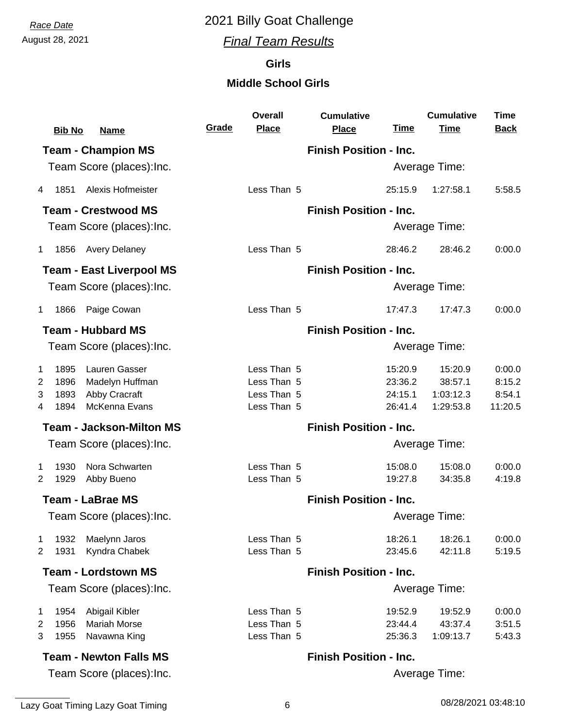August 28, 2021 *Final Team Results*

### **Girls**

#### **Middle School Girls**

|                | <b>Bib No</b> | <b>Name</b>                     | Grade | <b>Overall</b><br><b>Place</b> | <b>Cumulative</b><br><b>Place</b> | <u>Time</u>        | <b>Cumulative</b><br><b>Time</b> | <b>Time</b><br><b>Back</b> |
|----------------|---------------|---------------------------------|-------|--------------------------------|-----------------------------------|--------------------|----------------------------------|----------------------------|
|                |               | <b>Team - Champion MS</b>       |       |                                | <b>Finish Position - Inc.</b>     |                    |                                  |                            |
|                |               | Team Score (places): Inc.       |       |                                |                                   |                    | Average Time:                    |                            |
| 4              | 1851          | <b>Alexis Hofmeister</b>        |       | Less Than 5                    |                                   | 25:15.9            | 1:27:58.1                        | 5:58.5                     |
|                |               | <b>Team - Crestwood MS</b>      |       |                                | <b>Finish Position - Inc.</b>     |                    |                                  |                            |
|                |               | Team Score (places): Inc.       |       |                                |                                   |                    | Average Time:                    |                            |
| $\mathbf 1$    | 1856          | <b>Avery Delaney</b>            |       | Less Than 5                    |                                   | 28:46.2            | 28:46.2                          | 0:00.0                     |
|                |               | <b>Team - East Liverpool MS</b> |       |                                | <b>Finish Position - Inc.</b>     |                    |                                  |                            |
|                |               | Team Score (places): Inc.       |       |                                |                                   |                    | Average Time:                    |                            |
| $\mathbf{1}$   | 1866          | Paige Cowan                     |       | Less Than 5                    |                                   | 17:47.3            | 17:47.3                          | 0:00.0                     |
|                |               | <b>Team - Hubbard MS</b>        |       |                                | <b>Finish Position - Inc.</b>     |                    |                                  |                            |
|                |               | Team Score (places): Inc.       |       |                                |                                   |                    | Average Time:                    |                            |
| 1              | 1895          | Lauren Gasser                   |       | Less Than 5                    |                                   | 15:20.9            | 15:20.9                          | 0:00.0                     |
| 2              | 1896          | Madelyn Huffman                 |       | Less Than 5                    |                                   | 23:36.2            | 38:57.1                          | 8:15.2                     |
| 3              | 1893<br>1894  | Abby Cracraft<br>McKenna Evans  |       | Less Than 5<br>Less Than 5     |                                   | 24:15.1<br>26:41.4 | 1:03:12.3<br>1:29:53.8           | 8:54.1<br>11:20.5          |
| 4              |               |                                 |       |                                |                                   |                    |                                  |                            |
|                |               | <b>Team - Jackson-Milton MS</b> |       |                                | <b>Finish Position - Inc.</b>     |                    |                                  |                            |
|                |               | Team Score (places): Inc.       |       |                                |                                   |                    | Average Time:                    |                            |
| 1              | 1930          | Nora Schwarten                  |       | Less Than 5                    |                                   | 15:08.0            | 15:08.0                          | 0:00.0                     |
| 2              | 1929          | Abby Bueno                      |       | Less Than 5                    |                                   | 19:27.8            | 34:35.8                          | 4:19.8                     |
|                |               | <b>Team - LaBrae MS</b>         |       |                                | <b>Finish Position - Inc.</b>     |                    |                                  |                            |
|                |               | Team Score (places): Inc.       |       |                                |                                   |                    | <b>Average Time:</b>             |                            |
| 1              | 1932          | Maelynn Jaros                   |       | Less Than 5                    |                                   | 18:26.1            | 18:26.1                          | 0:00.0                     |
| 2              | 1931          | Kyndra Chabek                   |       | Less Than 5                    |                                   | 23:45.6            | 42:11.8                          | 5:19.5                     |
|                |               | <b>Team - Lordstown MS</b>      |       |                                | <b>Finish Position - Inc.</b>     |                    |                                  |                            |
|                |               | Team Score (places): Inc.       |       |                                |                                   |                    | Average Time:                    |                            |
| 1              | 1954          | Abigail Kibler                  |       | Less Than 5                    |                                   | 19:52.9            | 19:52.9                          | 0:00.0                     |
| $\overline{2}$ | 1956          | <b>Mariah Morse</b>             |       | Less Than 5                    |                                   | 23:44.4            | 43:37.4                          | 3:51.5                     |
| 3              | 1955          | Navawna King                    |       | Less Than 5                    |                                   | 25:36.3            | 1:09:13.7                        | 5:43.3                     |
|                |               | <b>Team - Newton Falls MS</b>   |       |                                | <b>Finish Position - Inc.</b>     |                    |                                  |                            |
|                |               | Team Score (places): Inc.       |       |                                |                                   |                    | Average Time:                    |                            |

Team Score (places):Inc.